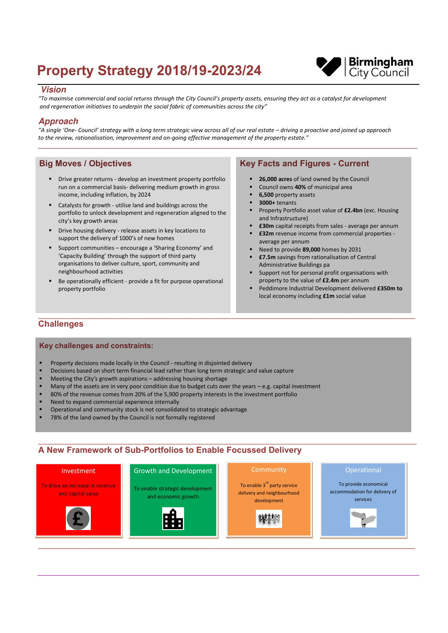# **Property Strategy 2018/19-2023/24**



## **Vision**

"To maximise commercial and social returns through the City Council's property assets, ensuring they act as a catalyst for development and regeneration initiatives to underpin the social fabric of communities across the city"

# **Approach**

"A single 'One- Council' strategy with a long term strategic view across all of our real estate – driving a proactive and joined up approach to the review, rationalisation, improvement and on-going effective management of the property estate."

# **Big Moves / Objectives**

- Drive greater returns develop an investment property portfolio run on a commercial basis- delivering medium growth in gross income, including inflation, by 2024
- Catalysts for growth utilise land and buildings across the portfolio to unlock development and regeneration aligned to the city's key growth areas
- Drive housing delivery release assets in key locations to support the delivery of 1000's of new homes
- Support communities encourage a 'Sharing Economy' and 'Capacity Building' through the support of third party organisations to deliver culture, sport, community and neighbourhood activities
- Be operationally efficient provide a fit for purpose operational property portfolio

# **Key Facts and Figures - Current**

- 26,000 acres of land owned by the Council
- $\blacksquare$ Council owns 40% of municipal area
- 6,500 property assets
- 3000+ tenants
- Property Portfolio asset value of £2.4bn (exc. Housing and Infrastructure)
- **£30m** capital receipts from sales average per annum
- £32m revenue income from commercial properties average per annum
- Need to provide 89,000 homes by 2031
- **£7.5m** savings from rationalisation of Central Administrative Buildings pa
- Support not for personal profit organisations with property to the value of £2.4m per annum
- Peddimore Industrial Development delivered £350m to local economy including £1m social value

# **Challenges**

### **Key challenges and constraints:**

- Property decisions made locally in the Council resulting in disjointed delivery
- Decisions based on short term financial lead rather than long term strategic and value capture
- Meeting the City's growth aspirations addressing housing shortage
- Many of the assets are in very poor condition due to budget cuts over the years  $-$  e.g. capital investment
- 80% of the revenue comes from 20% of the 5,900 property interests in the investment portfolio
- Need to expand commercial experience internally
- Operational and community stock is not consolidated to strategic advantage
- × 78% of the land owned by the Council is not formally registered

# A New Framework of Sub-Portfolios to Enable Focussed Delivery

Community

#### To drive an increase in revenue and capital value



To enable strategic development and economic growth



To enable 3<sup>rd</sup> party service delivery and neighbourhood development



To provide economical accommodation for delivery of services